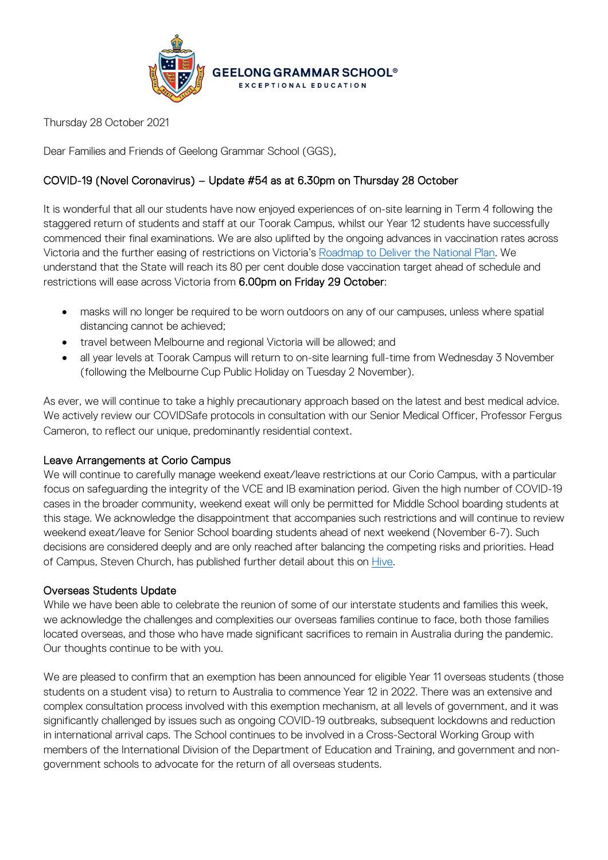

Thursday 28 October 2021

Dear Families and Friends of Geelong Grammar School (GGS),

## COVID-19 (Novel Coronavirus) – Update #54 as at 6.30pm on Thursday 28 October

It is wonderful that all our students have now enjoyed experiences of on-site learning in Term 4 following the staggered return of students and staff at our Toorak Campus, whilst our Year 12 students have successfully commenced their final examinations. We are also uplifted by the ongoing advances in vaccination rates across Victoria and the further easing of restrictions on Victoria's [Roadmap to Deliver the National Plan.](https://www.coronavirus.vic.gov.au/victorias-roadmap) We understand that the State will reach its 80 per cent double dose vaccination target ahead of schedule and restrictions will ease across Victoria from 6.00pm on Friday 29 October:

- masks will no longer be required to be worn outdoors on any of our campuses, unless where spatial distancing cannot be achieved;
- travel between Melbourne and regional Victoria will be allowed; and
- all year levels at Toorak Campus will return to on-site learning full-time from Wednesday 3 November (following the Melbourne Cup Public Holiday on Tuesday 2 November).

As ever, we will continue to take a highly precautionary approach based on the latest and best medical advice. We actively review our COVIDSafe protocols in consultation with our Senior Medical Officer, Professor Fergus Cameron, to reflect our unique, predominantly residential context.

## Leave Arrangements at Corio Campus

We will continue to carefully manage weekend exeat/leave restrictions at our Corio Campus, with a particular focus on safeguarding the integrity of the VCE and IB examination period. Given the high number of COVID-19 cases in the broader community, weekend exeat will only be permitted for Middle School boarding students at this stage. We acknowledge the disappointment that accompanies such restrictions and will continue to review weekend exeat/leave for Senior School boarding students ahead of next weekend (November 6-7). Such decisions are considered deeply and are only reached after balancing the competing risks and priorities. Head of Campus, Steven Church, has published further detail about this on [Hive.](https://hive.ggs.vic.edu.au/news/3115)

## Overseas Students Update

While we have been able to celebrate the reunion of some of our interstate students and families this week, we acknowledge the challenges and complexities our overseas families continue to face, both those families located overseas, and those who have made significant sacrifices to remain in Australia during the pandemic. Our thoughts continue to be with you.

We are pleased to confirm that an exemption has been announced for eligible Year 11 overseas students (those students on a student visa) to return to Australia to commence Year 12 in 2022. There was an extensive and complex consultation process involved with this exemption mechanism, at all levels of government, and it was significantly challenged by issues such as ongoing COVID-19 outbreaks, subsequent lockdowns and reduction in international arrival caps. The School continues to be involved in a Cross-Sectoral Working Group with members of the International Division of the Department of Education and Training, and government and nongovernment schools to advocate for the return of all overseas students.